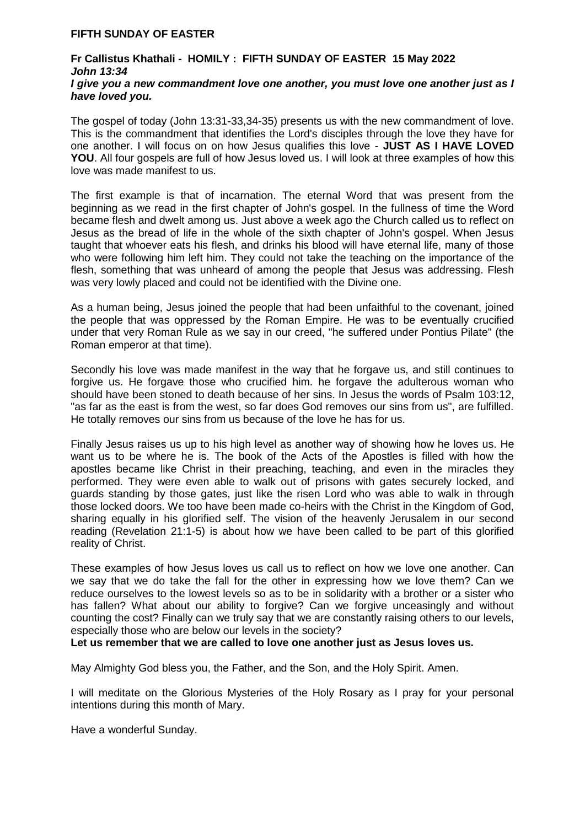## **FIFTH SUNDAY OF EASTER**

## **Fr Callistus Khathali - HOMILY : FIFTH SUNDAY OF EASTER 15 May 2022** *John 13:34 I give you a new commandment love one another, you must love one another just as I have loved you.*

The gospel of today (John 13:31-33,34-35) presents us with the new commandment of love. This is the commandment that identifies the Lord's disciples through the love they have for one another. I will focus on on how Jesus qualifies this love - **JUST AS I HAVE LOVED**  YOU. All four gospels are full of how Jesus loved us. I will look at three examples of how this love was made manifest to us.

The first example is that of incarnation. The eternal Word that was present from the beginning as we read in the first chapter of John's gospel. In the fullness of time the Word became flesh and dwelt among us. Just above a week ago the Church called us to reflect on Jesus as the bread of life in the whole of the sixth chapter of John's gospel. When Jesus taught that whoever eats his flesh, and drinks his blood will have eternal life, many of those who were following him left him. They could not take the teaching on the importance of the flesh, something that was unheard of among the people that Jesus was addressing. Flesh was very lowly placed and could not be identified with the Divine one.

As a human being, Jesus joined the people that had been unfaithful to the covenant, joined the people that was oppressed by the Roman Empire. He was to be eventually crucified under that very Roman Rule as we say in our creed, "he suffered under Pontius Pilate" (the Roman emperor at that time).

Secondly his love was made manifest in the way that he forgave us, and still continues to forgive us. He forgave those who crucified him. he forgave the adulterous woman who should have been stoned to death because of her sins. In Jesus the words of Psalm 103:12, "as far as the east is from the west, so far does God removes our sins from us", are fulfilled. He totally removes our sins from us because of the love he has for us.

Finally Jesus raises us up to his high level as another way of showing how he loves us. He want us to be where he is. The book of the Acts of the Apostles is filled with how the apostles became like Christ in their preaching, teaching, and even in the miracles they performed. They were even able to walk out of prisons with gates securely locked, and guards standing by those gates, just like the risen Lord who was able to walk in through those locked doors. We too have been made co-heirs with the Christ in the Kingdom of God, sharing equally in his glorified self. The vision of the heavenly Jerusalem in our second reading (Revelation 21:1-5) is about how we have been called to be part of this glorified reality of Christ.

These examples of how Jesus loves us call us to reflect on how we love one another. Can we say that we do take the fall for the other in expressing how we love them? Can we reduce ourselves to the lowest levels so as to be in solidarity with a brother or a sister who has fallen? What about our ability to forgive? Can we forgive unceasingly and without counting the cost? Finally can we truly say that we are constantly raising others to our levels, especially those who are below our levels in the society?

**Let us remember that we are called to love one another just as Jesus loves us.**

May Almighty God bless you, the Father, and the Son, and the Holy Spirit. Amen.

I will meditate on the Glorious Mysteries of the Holy Rosary as I pray for your personal intentions during this month of Mary.

Have a wonderful Sunday.